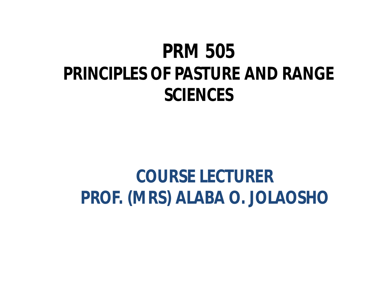## **PRM 505 PRINCIPLES OF PASTURE AND RANGE SCIENCES**

## **COURSE LECTURER PROF. (MRS) ALABA O. JOLAOSHO**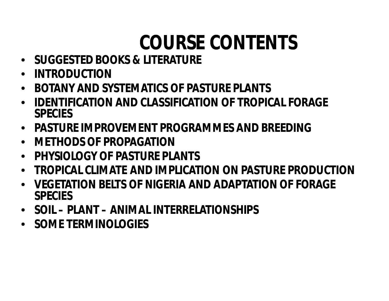# **COURSE CONTENTS**

- **SUGGESTED BOOKS & LITERATURE**
- **INTRODUCTION**
- **BOTANY AND SYSTEMATICS OF PASTURE PLANTS**
- **IDENTIFICATION AND CLASSIFICATION OF TROPICAL FORAGE SPECIES**
- **PASTURE IMPROVEMENT PROGRAMMES AND BREEDING**
- **METHODS OF PROPAGATION**
- **PHYSIOLOGY OF PASTURE PLANTS**
- **TROPICAL CLIMATE AND IMPLICATION ON PASTURE PRODUCTION**
- **VEGETATION BELTS OF NIGERIA AND ADAPTATION OF FORAGE SPECIES**
- **SOIL – PLANT – ANIMAL INTERRELATIONSHIPS**
- **SOME TERMINOLOGIES**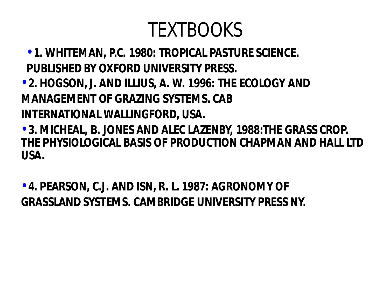# TEXTBOOKS

- •**1. WHITEMAN, P.C. 1980: TROPICAL PASTURE SCIENCE. PUBLISHED BY OXFORD UNIVERSITY PRESS.**
- •**2. HOGSON, J. AND ILLIUS, A. W. 1996: THE ECOLOGY AND MANAGEMENT OF GRAZING SYSTEMS. CAB INTERNATIONAL WALLINGFORD, USA.**

•**3. MICHEAL, B. JONES AND ALEC LAZENBY, 1988:THE GRASS CROP. THE PHYSIOLOGICAL BASIS OF PRODUCTION CHAPMAN AND HALL LTD USA.**

•**4. PEARSON, C.J. AND ISN, R. L. 1987: AGRONOMY OF GRASSLAND SYSTEMS. CAMBRIDGE UNIVERSITY PRESS NY.**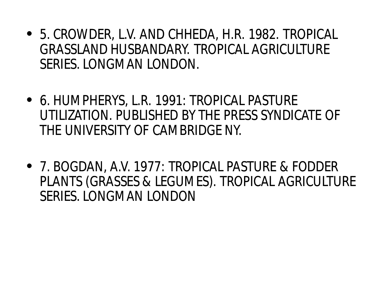- 5. CROWDER, L.V. AND CHHEDA, H.R. 1982. TROPICAL GRASSLAND HUSBANDARY. TROPICAL AGRICULTURE SERIES. LONGMAN LONDON.
- 6. HUMPHERYS, L.R. 1991: TROPICAL PASTURE UTILIZATION. PUBLISHED BY THE PRESS SYNDICATE OF THE UNIVERSITY OF CAMBRIDGE NY.
- 7. BOGDAN, A.V. 1977: TROPICAL PASTURE & FODDER PLANTS (GRASSES & LEGUMES). TROPICAL AGRICULTURE SERIES. LONGMAN LONDON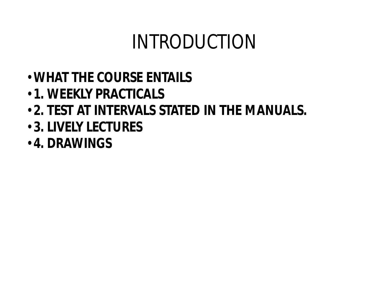# INTRODUCTION

- •**WHAT THE COURSE ENTAILS**
- •**1. WEEKLY PRACTICALS**
- •**2. TEST AT INTERVALS STATED IN THE MANUALS.**
- •**3. LIVELY LECTURES**
- •**4. DRAWINGS**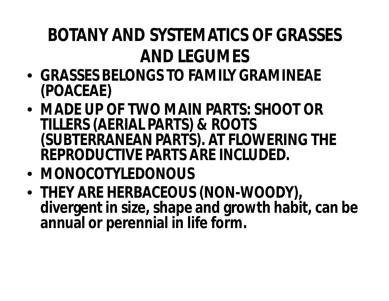## **BOTANY AND SYSTEMATICS OF GRASSES AND LEGUMES**

- **GRASSES BELONGS TO FAMILY GRAMINEAE (POACEAE)**
- **MADE UP OF TWO MAIN PARTS: SHOOT OR TILLERS (AERIAL PARTS) & ROOTS (SUBTERRANEAN PARTS). AT FLOWERING THE REPRODUCTIVE PARTS ARE INCLUDED.**
- **MONOCOTYLEDONOUS**
- **THEY ARE HERBACEOUS (NON-WOODY), divergent in size, shape and growth habit, can be annual or perennial in life form.**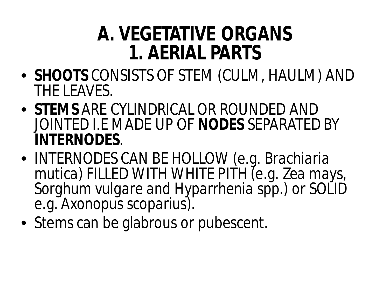## **A. VEGETATIVE ORGANS 1. AERIAL PARTS**

- **SHOOTS** CONSISTS OF STEM (CULM, HAULM) AND THE LEAVES.
- **STEMS** ARE CYLINDRICAL OR ROUNDED AND JOINTED I.E MADE UP OF **NODES** SEPARATED BY **INTERNODES**.
- INTERNODES CAN BE HOLLOW (e.g. *Brachiaria mutica)* FILLED WITH WHITE PITH (e.g. *Zea mays, Sorghum vulgare and Hyparrhenia spp.*) or SOLID e.g. *Axonopus scoparius).*
- Stems can be glabrous or pubescent.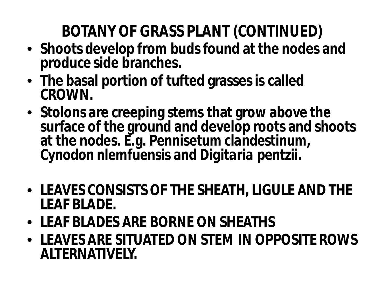### **BOTANY OF GRASS PLANT (CONTINUED)**

- **Shoots develop from buds found at the nodes and produce side branches.**
- **The basal portion of tufted grasses is called CROWN.**
- **Stolons are creeping stems that grow above the surface of the ground and develop roots and shoots at the nodes. E.g.** *Pennisetum clandestinum***,**  *Cynodon nlemfuensis* **and** *Digitaria pentzii***.**
- **LEAVES CONSISTS OF THE SHEATH, LIGULE AND THE LEAF BLADE.**
- **LEAF BLADES ARE BORNE ON SHEATHS**
- **LEAVES ARE SITUATED ON STEM IN OPPOSITE ROWS ALTERNATIVELY.**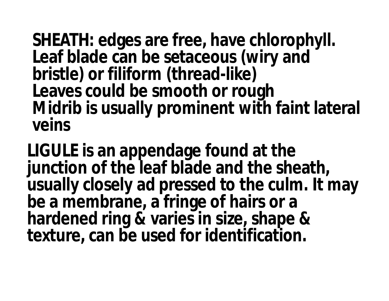**SHEATH: edges are free, have chlorophyll. Leaf blade can be setaceous (wiry and bristle) or filiform (thread-like) Leaves could be smooth or rough Midrib is usually prominent with faint lateral veins**

**LIGULE is an appendage found at the junction of the leaf blade and the sheath, usually closely ad pressed to the culm. It may be a membrane, a fringe of hairs or a hardened ring & varies in size, shape & texture, can be used for identification.**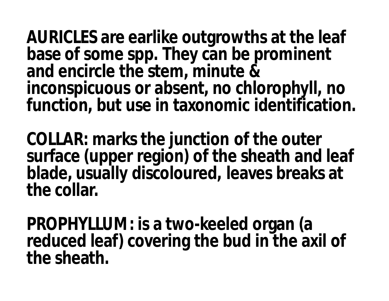**AURICLES are earlike outgrowths at the leaf base of some spp. They can be prominent and encircle the stem, minute & inconspicuous or absent, no chlorophyll, no function, but use in taxonomic identification.**

**COLLAR: marks the junction of the outer surface (upper region) of the sheath and leaf blade, usually discoloured, leaves breaks at the collar.**

**PROPHYLLUM: is a two-keeled organ (a reduced leaf) covering the bud in the axil of the sheath.**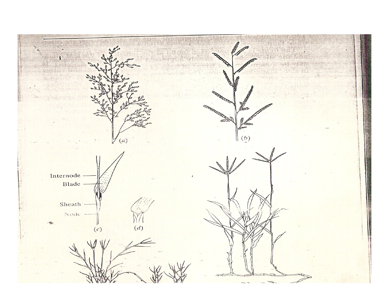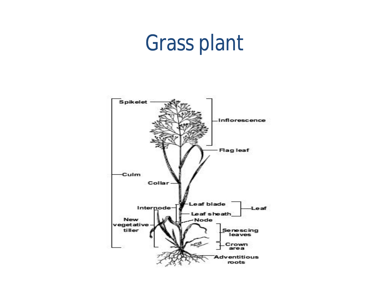# Grass plant

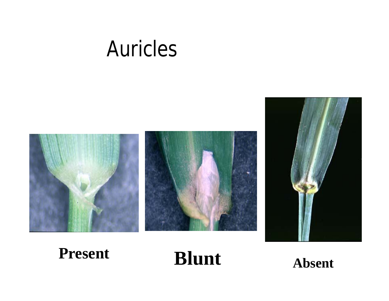# Auricles



**Present Blunt Absent**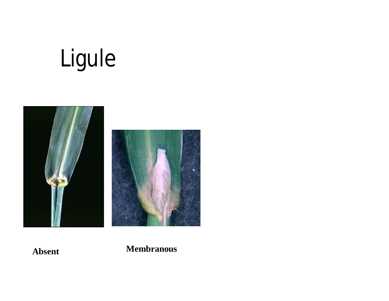# Ligule



**Absent Membranous**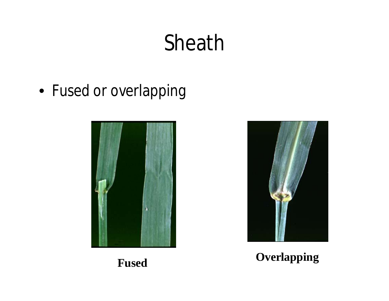# Sheath

• Fused or overlapping





#### **Fused Overlapping**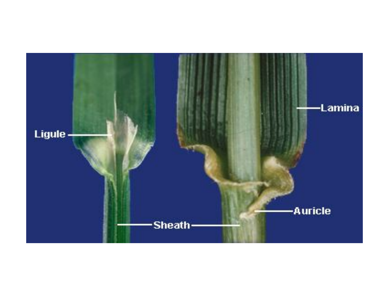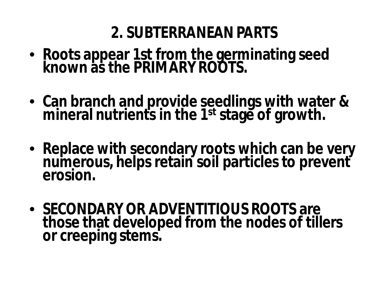#### **2. SUBTERRANEAN PARTS**

- **Roots appear 1st from the germinating seed known as the PRIMARY ROOTS.**
- **Can branch and provide seedlings with water & mineral nutrients in the 1st stage of growth.**
- **Replace with secondary roots which can be very numerous, helps retain soil particles to prevent erosion.**
- **SECONDARY OR ADVENTITIOUS ROOTS are those that developed from the nodes of tillers or creeping stems.**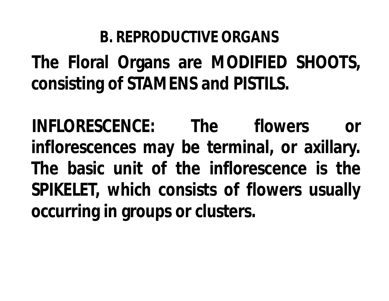#### **B. REPRODUCTIVE ORGANS**

**The Floral Organs are MODIFIED SHOOTS, consisting of STAMENS and PISTILS.**

**INFLORESCENCE: The flowers or inflorescences may be terminal, or axillary. The basic unit of the inflorescence is the SPIKELET, which consists of flowers usually occurring in groups or clusters.**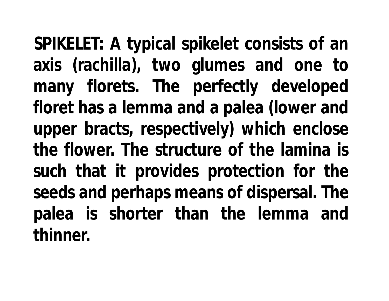**SPIKELET: A typical spikelet consists of an axis (rachilla), two glumes and one to many florets. The perfectly developed floret has a lemma and a palea (lower and upper bracts, respectively) which enclose the flower. The structure of the lamina is such that it provides protection for the seeds and perhaps means of dispersal. The palea is shorter than the lemma and thinner.**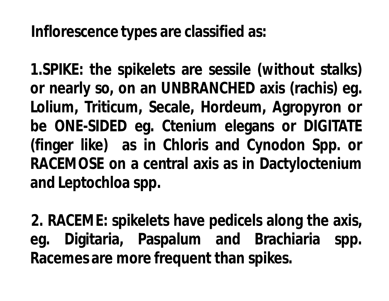**Inflorescence types are classified as:**

**1.SPIKE: the spikelets are sessile (without stalks) or nearly so, on an UNBRANCHED axis (rachis) eg. Lolium, Triticum, Secale, Hordeum, Agropyron or be ONE-SIDED eg. Ctenium elegans or DIGITATE (finger like) as in Chloris and Cynodon Spp. or RACEMOSE on a central axis as in Dactyloctenium and Leptochloa spp.**

**2. RACEME: spikelets have pedicels along the axis, eg. Digitaria, Paspalum and Brachiaria spp. Racemes are more frequent than spikes.**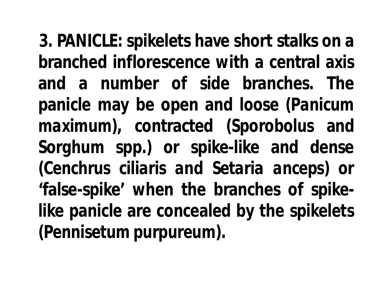**3. PANICLE: spikelets have short stalks on a branched inflorescence with a central axis and a number of side branches. The panicle may be open and loose (***Panicum maximum***), contracted (***Sporobolus* **and** *Sorghum* **spp.) or spike-like and dense (***Cenchrus ciliaris and Setaria anceps***) or 'false-spike' when the branches of spikelike panicle are concealed by the spikelets (***Pennisetum purpureum***).**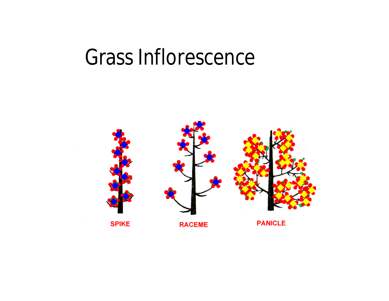# Grass Inflorescence

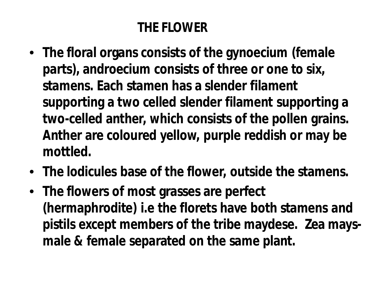#### **THE FLOWER**

- **The floral organs consists of the gynoecium (female parts), androecium consists of three or one to six, stamens. Each stamen has a slender filament supporting a two celled slender filament supporting a two-celled anther, which consists of the pollen grains. Anther are coloured yellow, purple reddish or may be mottled.**
- **The lodicules base of the flower, outside the stamens.**
- **The flowers of most grasses are perfect (hermaphrodite) i.e the florets have both stamens and pistils except members of the tribe maydese. Zea maysmale & female separated on the same plant.**